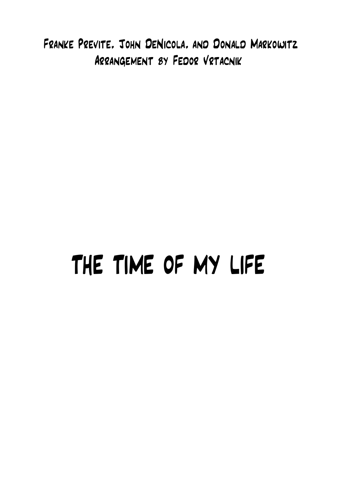Franke Previte, John DeNicola, and Donald Markowitz Arrangement by Fedor Vrtacnik

## THE TIME OF MY LIFE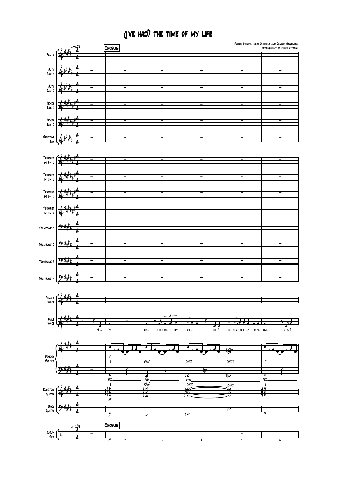## (I'VE HAD) THE TIME OF MY LIFE